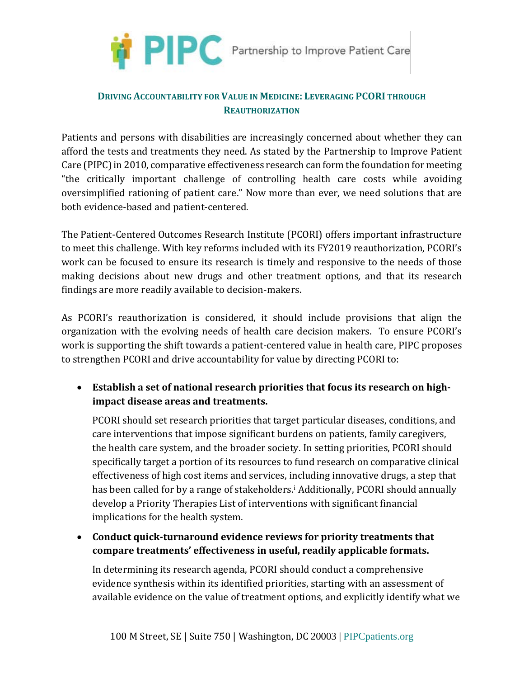

## **DRIVING ACCOUNTABILITY FOR VALUE IN MEDICINE: LEVERAGING PCORI THROUGH REAUTHORIZATION**

Patients and persons with disabilities are increasingly concerned about whether they can afford the tests and treatments they need. As stated by the Partnership to Improve Patient Care (PIPC) in 2010, comparative effectiveness research can form the foundation for meeting "the critically important challenge of controlling health care costs while avoiding oversimplified rationing of patient care." Now more than ever, we need solutions that are both evidence-based and patient-centered.

The Patient-Centered Outcomes Research Institute (PCORI) offers important infrastructure to meet this challenge. With key reforms included with its FY2019 reauthorization, PCORI's work can be focused to ensure its research is timely and responsive to the needs of those making decisions about new drugs and other treatment options, and that its research findings are more readily available to decision-makers.

As PCORI's reauthorization is considered, it should include provisions that align the organization with the evolving needs of health care decision makers. To ensure PCORI's work is supporting the shift towards a patient-centered value in health care, PIPC proposes to strengthen PCORI and drive accountability for value by directing PCORI to:

• **Establish a set of national research priorities that focus its research on highimpact disease areas and treatments.**

PCORI should set research priorities that target particular diseases, conditions, and care interventions that impose significant burdens on patients, family caregivers, the health care system, and the broader society. In setting priorities, PCORI should specifically target a portion of its resources to fund research on comparative clinical effectiveness of high cost items and services, including innovative drugs, a step that has been called for by a range of stakeholders.<sup>[i](#page-1-0)</sup> Additionally, PCORI should annually develop a Priority Therapies List of interventions with significant financial implications for the health system.

• **Conduct quick-turnaround evidence reviews for priority treatments that compare treatments' effectiveness in useful, readily applicable formats.**

In determining its research agenda, PCORI should conduct a comprehensive evidence synthesis within its identified priorities, starting with an assessment of available evidence on the value of treatment options, and explicitly identify what we